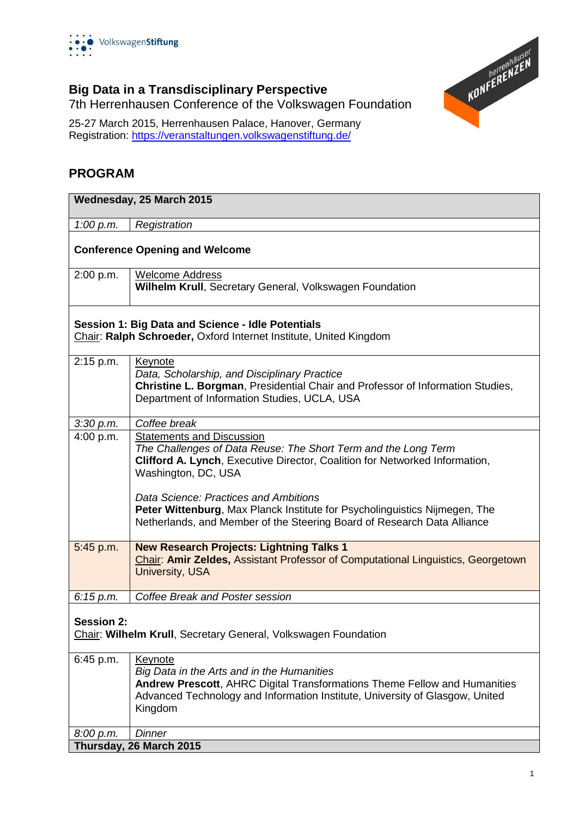



## **Big Data in a Transdisciplinary Perspective**

7th Herrenhausen Conference of the Volkswagen Foundation

25-27 March 2015, Herrenhausen Palace, Hanover, Germany Registration:<https://veranstaltungen.volkswagenstiftung.de/>

#### **PROGRAM**

| Wednesday, 25 March 2015                                                                                               |                                                                                                                                                                                                                               |  |
|------------------------------------------------------------------------------------------------------------------------|-------------------------------------------------------------------------------------------------------------------------------------------------------------------------------------------------------------------------------|--|
| 1:00 $p.m.$                                                                                                            | Registration                                                                                                                                                                                                                  |  |
| <b>Conference Opening and Welcome</b>                                                                                  |                                                                                                                                                                                                                               |  |
| 2:00 p.m.                                                                                                              | <b>Welcome Address</b><br>Wilhelm Krull, Secretary General, Volkswagen Foundation                                                                                                                                             |  |
| Session 1: Big Data and Science - Idle Potentials<br>Chair: Ralph Schroeder, Oxford Internet Institute, United Kingdom |                                                                                                                                                                                                                               |  |
| 2:15 p.m.                                                                                                              | Keynote<br>Data, Scholarship, and Disciplinary Practice<br>Christine L. Borgman, Presidential Chair and Professor of Information Studies,<br>Department of Information Studies, UCLA, USA                                     |  |
| 3:30 p.m.                                                                                                              | Coffee break                                                                                                                                                                                                                  |  |
| 4:00 p.m.                                                                                                              | <b>Statements and Discussion</b><br>The Challenges of Data Reuse: The Short Term and the Long Term<br>Clifford A. Lynch, Executive Director, Coalition for Networked Information,<br>Washington, DC, USA                      |  |
|                                                                                                                        | Data Science: Practices and Ambitions<br>Peter Wittenburg, Max Planck Institute for Psycholinguistics Nijmegen, The<br>Netherlands, and Member of the Steering Board of Research Data Alliance                                |  |
| 5:45 p.m.                                                                                                              | <b>New Research Projects: Lightning Talks 1</b><br><b>Chair: Amir Zeldes, Assistant Professor of Computational Linguistics, Georgetown</b><br><b>University, USA</b>                                                          |  |
| 6:15 p.m.                                                                                                              | Coffee Break and Poster session                                                                                                                                                                                               |  |
| <b>Session 2:</b><br>Chair: Wilhelm Krull, Secretary General, Volkswagen Foundation                                    |                                                                                                                                                                                                                               |  |
| 6:45 p.m.                                                                                                              | Keynote<br>Big Data in the Arts and in the Humanities<br>Andrew Prescott, AHRC Digital Transformations Theme Fellow and Humanities<br>Advanced Technology and Information Institute, University of Glasgow, United<br>Kingdom |  |
| 8:00 p.m.                                                                                                              | Dinner                                                                                                                                                                                                                        |  |
| Thursday, 26 March 2015                                                                                                |                                                                                                                                                                                                                               |  |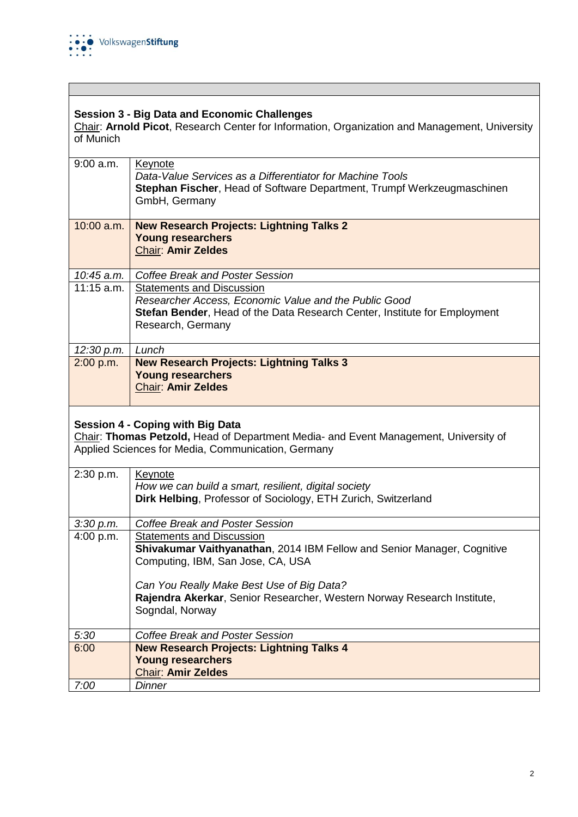

### **Session 3 - Big Data and Economic Challenges**

Chair: **Arnold Picot**, Research Center for Information, Organization and Management, University of Munich

| $9:00$ a.m.  | Keynote<br>Data-Value Services as a Differentiator for Machine Tools<br>Stephan Fischer, Head of Software Department, Trumpf Werkzeugmaschinen<br>GmbH, Germany                             |
|--------------|---------------------------------------------------------------------------------------------------------------------------------------------------------------------------------------------|
| $10:00$ a.m. | <b>New Research Projects: Lightning Talks 2</b><br><b>Young researchers</b><br><b>Chair: Amir Zeldes</b>                                                                                    |
|              |                                                                                                                                                                                             |
| 10:45 a.m.   | Coffee Break and Poster Session                                                                                                                                                             |
| $11:15$ a.m. | <b>Statements and Discussion</b><br>Researcher Access, Economic Value and the Public Good<br>Stefan Bender, Head of the Data Research Center, Institute for Employment<br>Research, Germany |
| 12:30 p.m.   | Lunch                                                                                                                                                                                       |
| 2:00 p.m.    | <b>New Research Projects: Lightning Talks 3</b><br><b>Young researchers</b><br><b>Chair: Amir Zeldes</b>                                                                                    |

#### **Session 4 - Coping with Big Data**

Chair: **Thomas Petzold,** Head of Department Media- and Event Management, University of Applied Sciences for Media, Communication, Germany

| 2:30 p.m. | <b>Keynote</b><br>How we can build a smart, resilient, digital society  |
|-----------|-------------------------------------------------------------------------|
|           |                                                                         |
|           | Dirk Helbing, Professor of Sociology, ETH Zurich, Switzerland           |
|           |                                                                         |
| 3:30 p.m. | <b>Coffee Break and Poster Session</b>                                  |
| 4:00 p.m. | <b>Statements and Discussion</b>                                        |
|           | Shivakumar Vaithyanathan, 2014 IBM Fellow and Senior Manager, Cognitive |
|           | Computing, IBM, San Jose, CA, USA                                       |
|           |                                                                         |
|           | Can You Really Make Best Use of Big Data?                               |
|           | Rajendra Akerkar, Senior Researcher, Western Norway Research Institute, |
|           |                                                                         |
|           | Sogndal, Norway                                                         |
|           |                                                                         |
| 5:30      | Coffee Break and Poster Session                                         |
| 6:00      | <b>New Research Projects: Lightning Talks 4</b>                         |
|           | <b>Young researchers</b>                                                |
|           | <b>Chair: Amir Zeldes</b>                                               |
| 7:00      | Dinner                                                                  |